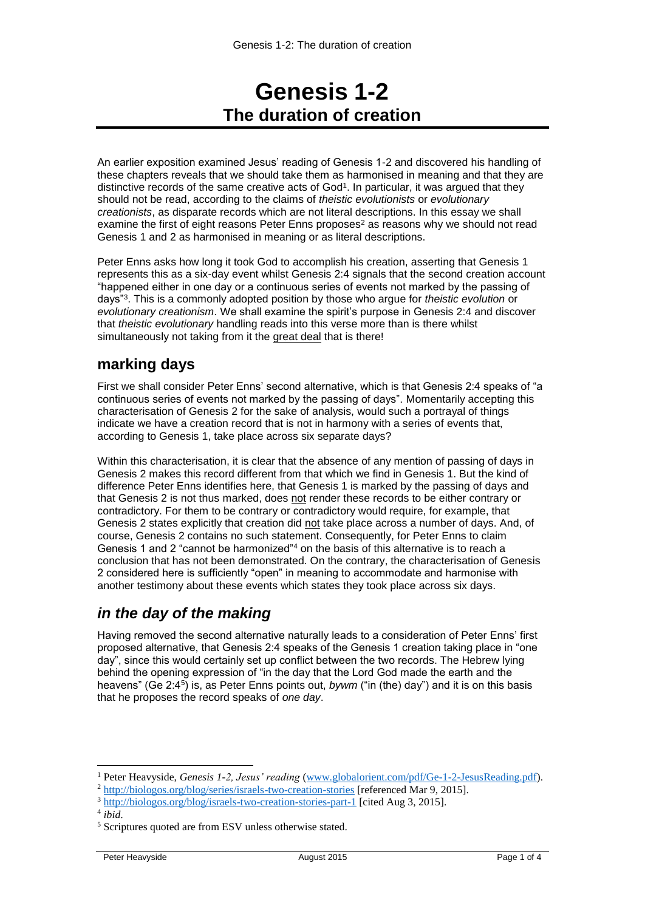# **Genesis 1-2 The duration of creation**

An earlier exposition examined Jesus' reading of Genesis 1-2 and discovered his handling of these chapters reveals that we should take them as harmonised in meaning and that they are distinctive records of the same creative acts of God<sup>1</sup>. In particular, it was argued that they should not be read, according to the claims of *theistic evolutionists* or *evolutionary creationists*, as disparate records which are not literal descriptions. In this essay we shall examine the first of eight reasons Peter Enns proposes<sup>2</sup> as reasons why we should not read Genesis 1 and 2 as harmonised in meaning or as literal descriptions.

Peter Enns asks how long it took God to accomplish his creation, asserting that Genesis 1 represents this as a six-day event whilst Genesis 2:4 signals that the second creation account "happened either in one day or a continuous series of events not marked by the passing of days"<sup>3</sup> . This is a commonly adopted position by those who argue for *theistic evolution* or *evolutionary creationism*. We shall examine the spirit's purpose in Genesis 2:4 and discover that *theistic evolutionary* handling reads into this verse more than is there whilst simultaneously not taking from it the great deal that is there!

## **marking days**

First we shall consider Peter Enns' second alternative, which is that Genesis 2:4 speaks of "a continuous series of events not marked by the passing of days". Momentarily accepting this characterisation of Genesis 2 for the sake of analysis, would such a portrayal of things indicate we have a creation record that is not in harmony with a series of events that, according to Genesis 1, take place across six separate days?

Within this characterisation, it is clear that the absence of any mention of passing of days in Genesis 2 makes this record different from that which we find in Genesis 1. But the kind of difference Peter Enns identifies here, that Genesis 1 is marked by the passing of days and that Genesis 2 is not thus marked, does not render these records to be either contrary or contradictory. For them to be contrary or contradictory would require, for example, that Genesis 2 states explicitly that creation did not take place across a number of days. And, of course, Genesis 2 contains no such statement. Consequently, for Peter Enns to claim Genesis 1 and 2 "cannot be harmonized"<sup>4</sup> on the basis of this alternative is to reach a conclusion that has not been demonstrated. On the contrary, the characterisation of Genesis 2 considered here is sufficiently "open" in meaning to accommodate and harmonise with another testimony about these events which states they took place across six days.

## *in the day of the making*

Having removed the second alternative naturally leads to a consideration of Peter Enns' first proposed alternative, that Genesis 2:4 speaks of the Genesis 1 creation taking place in "one day", since this would certainly set up conflict between the two records. The Hebrew lying behind the opening expression of "in the day that the Lord God made the earth and the heavens" (Ge 2:4<sup>5</sup>) is, as Peter Enns points out, *bywm* ("in (the) day") and it is on this basis that he proposes the record speaks of *one day*.

-

<sup>1</sup> Peter Heavyside, *Genesis 1-2, Jesus' reading* [\(www.globalorient.com/pdf/Ge-1-2-JesusReading.pdf\)](http://www.globalorient.com/pdf/Ge-1-2-JesusReading.pdf).

<sup>&</sup>lt;sup>2</sup> <http://biologos.org/blog/series/israels-two-creation-stories> [referenced Mar 9, 2015].

<sup>3</sup> <http://biologos.org/blog/israels-two-creation-stories-part-1> [cited Aug 3, 2015].

<sup>4</sup> *ibid*.

<sup>5</sup> Scriptures quoted are from ESV unless otherwise stated.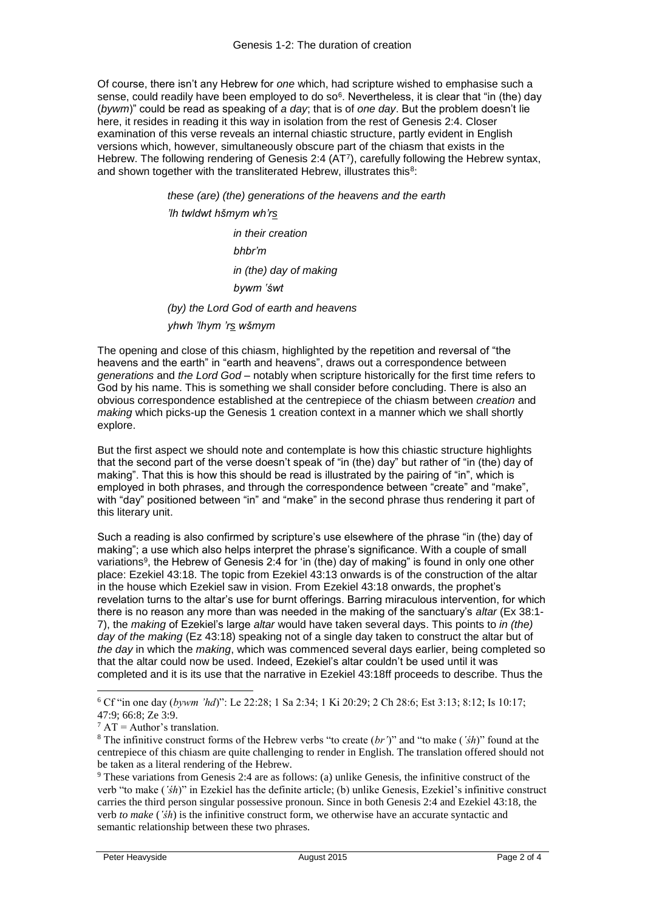Of course, there isn't any Hebrew for *one* which, had scripture wished to emphasise such a sense, could readily have been employed to do so<sup>6</sup>. Nevertheless, it is clear that "in (the) day (*bywm*)" could be read as speaking of *a day*; that is of *one day*. But the problem doesn't lie here, it resides in reading it this way in isolation from the rest of Genesis 2:4. Closer examination of this verse reveals an internal chiastic structure, partly evident in English versions which, however, simultaneously obscure part of the chiasm that exists in the Hebrew. The following rendering of Genesis 2:4 (AT<sup>7</sup> ), carefully following the Hebrew syntax, and shown together with the transliterated Hebrew, illustrates this<sup>8</sup>:

> *these (are) (the) generations of the heavens and the earth 'lh twldwt hšmym wh'rs in their creation bhbr'm in (the) day of making bywm ʽśwt (by) the Lord God of earth and heavens yhwh 'lhym 'rs wšmym*

The opening and close of this chiasm, highlighted by the repetition and reversal of "the heavens and the earth" in "earth and heavens", draws out a correspondence between *generations* and *the Lord God* – notably when scripture historically for the first time refers to God by his name. This is something we shall consider before concluding. There is also an obvious correspondence established at the centrepiece of the chiasm between *creation* and *making* which picks-up the Genesis 1 creation context in a manner which we shall shortly explore.

But the first aspect we should note and contemplate is how this chiastic structure highlights that the second part of the verse doesn't speak of "in (the) day" but rather of "in (the) day of making". That this is how this should be read is illustrated by the pairing of "in", which is employed in both phrases, and through the correspondence between "create" and "make", with "day" positioned between "in" and "make" in the second phrase thus rendering it part of this literary unit.

Such a reading is also confirmed by scripture's use elsewhere of the phrase "in (the) day of making"; a use which also helps interpret the phrase's significance. With a couple of small variations<sup>9</sup>, the Hebrew of Genesis 2:4 for 'in (the) day of making" is found in only one other place: Ezekiel 43:18. The topic from Ezekiel 43:13 onwards is of the construction of the altar in the house which Ezekiel saw in vision. From Ezekiel 43:18 onwards, the prophet's revelation turns to the altar's use for burnt offerings. Barring miraculous intervention, for which there is no reason any more than was needed in the making of the sanctuary's *altar* (Ex 38:1- 7), the *making* of Ezekiel's large *altar* would have taken several days. This points to *in (the) day of the making* (Ez 43:18) speaking not of a single day taken to construct the altar but of *the day* in which the *making*, which was commenced several days earlier, being completed so that the altar could now be used. Indeed, Ezekiel's altar couldn't be used until it was completed and it is its use that the narrative in Ezekiel 43:18ff proceeds to describe. Thus the

-

<sup>6</sup> Cf "in one day (*bywm 'hd*)": Le 22:28; 1 Sa 2:34; 1 Ki 20:29; 2 Ch 28:6; Est 3:13; 8:12; Is 10:17; 47:9; 66:8; Ze 3:9.

 $7 AT =$  Author's translation.

<sup>8</sup> The infinitive construct forms of the Hebrew verbs "to create (*br'*)" and "to make (*ʽśh*)" found at the centrepiece of this chiasm are quite challenging to render in English. The translation offered should not be taken as a literal rendering of the Hebrew.

<sup>9</sup> These variations from Genesis 2:4 are as follows: (a) unlike Genesis, the infinitive construct of the verb "to make (*ʽśh*)" in Ezekiel has the definite article; (b) unlike Genesis, Ezekiel's infinitive construct carries the third person singular possessive pronoun. Since in both Genesis 2:4 and Ezekiel 43:18, the verb *to make* (*ʽśh*) is the infinitive construct form, we otherwise have an accurate syntactic and semantic relationship between these two phrases.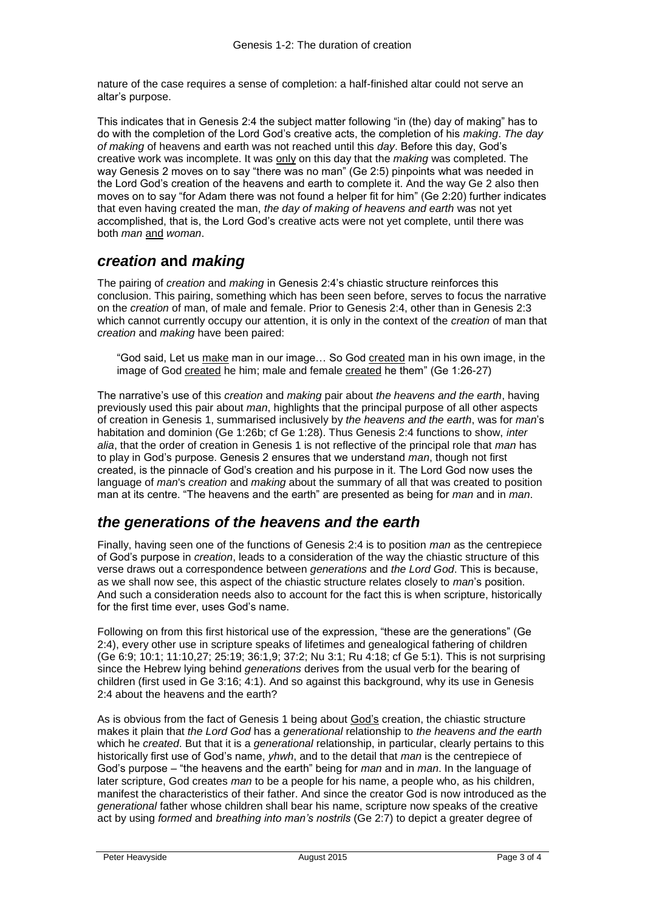nature of the case requires a sense of completion: a half-finished altar could not serve an altar's purpose.

This indicates that in Genesis 2:4 the subject matter following "in (the) day of making" has to do with the completion of the Lord God's creative acts, the completion of his *making*. *The day of making* of heavens and earth was not reached until this *day*. Before this day, God's creative work was incomplete. It was only on this day that the *making* was completed. The way Genesis 2 moves on to say "there was no man" (Ge 2:5) pinpoints what was needed in the Lord God's creation of the heavens and earth to complete it. And the way Ge 2 also then moves on to say "for Adam there was not found a helper fit for him" (Ge 2:20) further indicates that even having created the man, *the day of making of heavens and earth* was not yet accomplished, that is, the Lord God's creative acts were not yet complete, until there was both *man* and *woman*.

#### *creation* **and** *making*

The pairing of *creation* and *making* in Genesis 2:4's chiastic structure reinforces this conclusion. This pairing, something which has been seen before, serves to focus the narrative on the *creation* of man, of male and female. Prior to Genesis 2:4, other than in Genesis 2:3 which cannot currently occupy our attention, it is only in the context of the *creation* of man that *creation* and *making* have been paired:

"God said, Let us make man in our image… So God created man in his own image, in the image of God created he him; male and female created he them" (Ge 1:26-27)

The narrative's use of this *creation* and *making* pair about *the heavens and the earth*, having previously used this pair about *man*, highlights that the principal purpose of all other aspects of creation in Genesis 1, summarised inclusively by *the heavens and the earth*, was for *man*'s habitation and dominion (Ge 1:26b; cf Ge 1:28). Thus Genesis 2:4 functions to show, *inter alia*, that the order of creation in Genesis 1 is not reflective of the principal role that *man* has to play in God's purpose. Genesis 2 ensures that we understand *man*, though not first created, is the pinnacle of God's creation and his purpose in it. The Lord God now uses the language of *man*'s *creation* and *making* about the summary of all that was created to position man at its centre. "The heavens and the earth" are presented as being for *man* and in *man*.

### *the generations of the heavens and the earth*

Finally, having seen one of the functions of Genesis 2:4 is to position *man* as the centrepiece of God's purpose in *creation*, leads to a consideration of the way the chiastic structure of this verse draws out a correspondence between *generations* and *the Lord God*. This is because, as we shall now see, this aspect of the chiastic structure relates closely to *man*'s position. And such a consideration needs also to account for the fact this is when scripture, historically for the first time ever, uses God's name.

Following on from this first historical use of the expression, "these are the generations" (Ge 2:4), every other use in scripture speaks of lifetimes and genealogical fathering of children (Ge 6:9; 10:1; 11:10,27; 25:19; 36:1,9; 37:2; Nu 3:1; Ru 4:18; cf Ge 5:1). This is not surprising since the Hebrew lying behind *generations* derives from the usual verb for the bearing of children (first used in Ge 3:16; 4:1). And so against this background, why its use in Genesis 2:4 about the heavens and the earth?

As is obvious from the fact of Genesis 1 being about God's creation, the chiastic structure makes it plain that *the Lord God* has a *generational* relationship to *the heavens and the earth* which he *created*. But that it is a *generational* relationship, in particular, clearly pertains to this historically first use of God's name, *yhwh*, and to the detail that *man* is the centrepiece of God's purpose – "the heavens and the earth" being for *man* and in *man*. In the language of later scripture, God creates *man* to be a people for his name, a people who, as his children, manifest the characteristics of their father. And since the creator God is now introduced as the *generational* father whose children shall bear his name, scripture now speaks of the creative act by using *formed* and *breathing into man's nostrils* (Ge 2:7) to depict a greater degree of